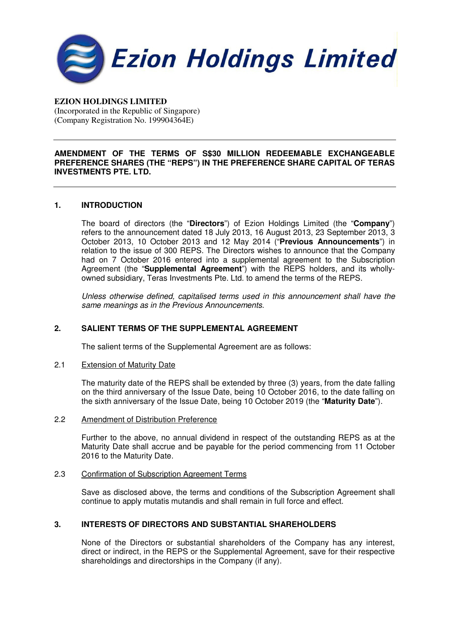

# **EZION HOLDINGS LIMITED**

(Incorporated in the Republic of Singapore) (Company Registration No. 199904364E)

### **AMENDMENT OF THE TERMS OF S\$30 MILLION REDEEMABLE EXCHANGEABLE PREFERENCE SHARES (THE "REPS") IN THE PREFERENCE SHARE CAPITAL OF TERAS INVESTMENTS PTE. LTD.**

## **1. INTRODUCTION**

The board of directors (the "**Directors**") of Ezion Holdings Limited (the "**Company**") refers to the announcement dated 18 July 2013, 16 August 2013, 23 September 2013, 3 October 2013, 10 October 2013 and 12 May 2014 ("**Previous Announcements**") in relation to the issue of 300 REPS. The Directors wishes to announce that the Company had on 7 October 2016 entered into a supplemental agreement to the Subscription Agreement (the "**Supplemental Agreement**") with the REPS holders, and its whollyowned subsidiary, Teras Investments Pte. Ltd. to amend the terms of the REPS.

Unless otherwise defined, capitalised terms used in this announcement shall have the same meanings as in the Previous Announcements.

## **2. SALIENT TERMS OF THE SUPPLEMENTAL AGREEMENT**

The salient terms of the Supplemental Agreement are as follows:

#### 2.1 Extension of Maturity Date

The maturity date of the REPS shall be extended by three (3) years, from the date falling on the third anniversary of the Issue Date, being 10 October 2016, to the date falling on the sixth anniversary of the Issue Date, being 10 October 2019 (the "**Maturity Date**").

### 2.2 Amendment of Distribution Preference

Further to the above, no annual dividend in respect of the outstanding REPS as at the Maturity Date shall accrue and be payable for the period commencing from 11 October 2016 to the Maturity Date.

# 2.3 Confirmation of Subscription Agreement Terms

Save as disclosed above, the terms and conditions of the Subscription Agreement shall continue to apply mutatis mutandis and shall remain in full force and effect.

# **3. INTERESTS OF DIRECTORS AND SUBSTANTIAL SHAREHOLDERS**

None of the Directors or substantial shareholders of the Company has any interest, direct or indirect, in the REPS or the Supplemental Agreement, save for their respective shareholdings and directorships in the Company (if any).